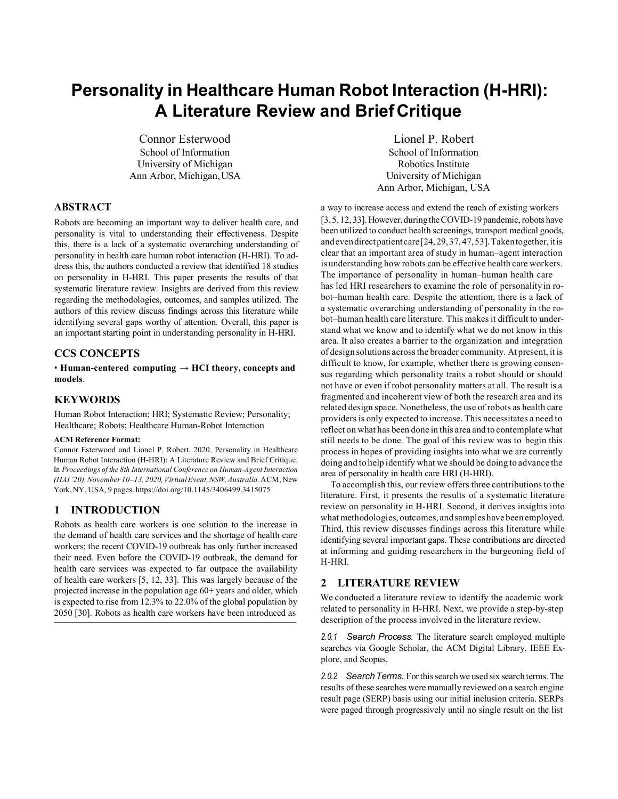# **Personality in Healthcare Human Robot Interaction (H-HRI): A Literature Review and BriefCritique**

Connor Esterwood School of Information University of Michigan Ann Arbor, Michigan,USA

# **ABSTRACT**

Robots are becoming an important way to deliver health care, and personality is vital to understanding their effectiveness. Despite this, there is a lack of a systematic overarching understanding of personality in health care human robot interaction (H-HRI). To address this, the authors conducted a review that identified 18 studies on personality in H-HRI. This paper presents the results of that systematic literature review. Insights are derived from this review regarding the methodologies, outcomes, and samples utilized. The authors of this review discuss findings across this literature while identifying several gaps worthy of attention. Overall, this paper is an important starting point in understanding personality in H-HRI.

# **CCS CONCEPTS**

 $\cdot$  Human-centered computing  $\rightarrow$  HCI theory, concepts and **models**.

## **KEYWORDS**

Human Robot Interaction; HRI; Systematic Review; Personality; Healthcare; Robots; Healthcare Human-Robot Interaction

#### **ACM Reference Format:**

Connor Esterwood and Lionel P. Robert. 2020. Personality in Healthcare Human Robot Interaction (H-HRI): A Literature Review and Brief Critique. In *Proceedings of the 8th International Conference on Human-Agent Interaction (HAI'20),November10–13,2020,VirtualEvent,NSW,Australia.*ACM, New York,NY, USA, 9 pages. https://doi.org/10.1145/3406499.3415075

# **1 INTRODUCTION**

Robots as health care workers is one solution to the increase in the demand of health care services and the shortage of health care workers; the recent COVID-19 outbreak has only further increased their need. Even before the COVID-19 outbreak, the demand for health care services was expected to far outpace the availability of health care workers [5, 12, 33]. This was largely because of the projected increase in the population age 60+ years and older, which is expected to rise from 12.3% to 22.0% of the global population by 2050 [30]. Robots as health care workers have been introduced as

Lionel P. Robert School of Information Robotics Institute University of Michigan Ann Arbor, Michigan, USA

a way to increase access and extend the reach of existing workers [3, 5, 12, 33]. However, during the COVID-19 pandemic, robots have been utilized to conduct health screenings, transport medical goods, andeven direct patient care [24, 29, 37, 47, 53]. Taken together, it is clear that an important area of study in human–agent interaction is understanding how robots can be effective health care workers. The importance of personality in human–human health care has led HRI researchers to examine the role of personalityin robot–human health care. Despite the attention, there is a lack of a systematic overarching understanding of personality in the robot–human health care literature. This makesit difficult to understand what we know and to identify what we do not know in this area. It also creates a barrier to the organization and integration of design solutions acrossthe broader community. At present, it is difficult to know, for example, whether there is growing consensus regarding which personality traits a robot should or should not have or even if robot personality matters at all. The result is a fragmented and incoherent view of both the research area and its related design space. Nonetheless, the use of robots as health care providersis only expected to increase. This necessitates a need to reflect on what has been done in this area and to contemplate what still needs to be done. The goal of this review was to begin this process in hopes of providing insights into what we are currently doing and to help identify what we should be doing to advance the area of personality in health care HRI (H-HRI).

To accomplish this, our review offers three contributionsto the literature. First, it presents the results of a systematic literature review on personality in H-HRI. Second, it derives insights into what methodologies, outcomes, and samples have been employed. Third, this review discusses findings across this literature while identifying several important gaps. These contributions are directed at informing and guiding researchers in the burgeoning field of H-HRI.

#### **2 LITERATURE REVIEW**

We conducted a literature review to identify the academic work related to personality in H-HRI. Next, we provide a step-by-step description of the process involved in the literature review.

*2.0.1 Search Process.* The literature search employed multiple searches via Google Scholar, the ACM Digital Library, IEEE Explore, and Scopus.

2.0.2 Search Terms. For this search we used six search terms. The results of these searches were manually reviewed on a search engine result page (SERP) basis using our initial inclusion criteria. SERPs were paged through progressively until no single result on the list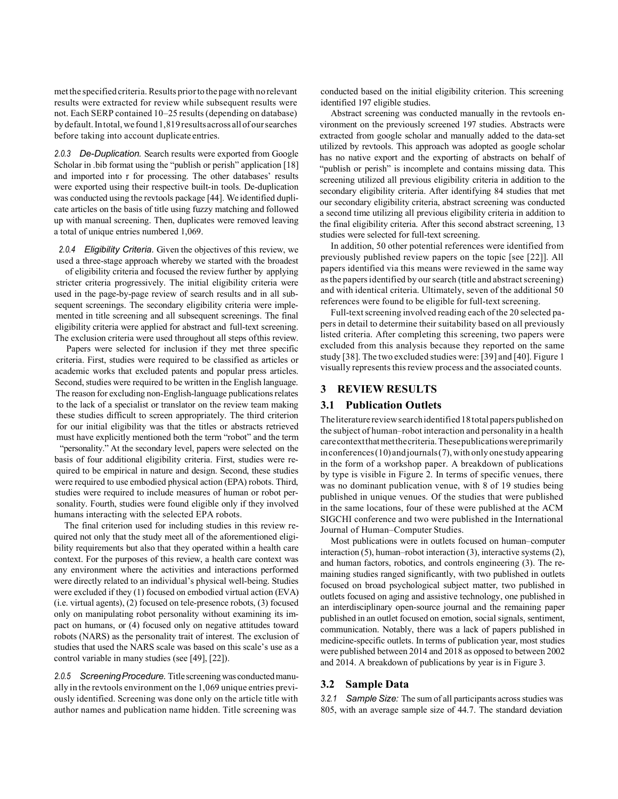met the specified criteria. Results priorto the page with no relevant results were extracted for review while subsequent results were not. Each SERP contained 10–25 results (depending on database) by default.Intotal, wefound1,819resultsacross allof oursearches before taking into account duplicate entries.

*2.0.3 De-Duplication.* Search results were exported from Google Scholar in .bib format using the "publish or perish" application [18] and imported into r for processing. The other databases' results were exported using their respective built-in tools. De-duplication was conducted using the revtools package [44]. We identified duplicate articles on the basis of title using fuzzy matching and followed up with manual screening. Then, duplicates were removed leaving a total of unique entries numbered 1,069.

*2.0.4 Eligibility Criteria.* Given the objectives of this review, we used a three-stage approach whereby we started with the broadest

of eligibility criteria and focused the review further by applying stricter criteria progressively. The initial eligibility criteria were used in the page-by-page review of search results and in all subsequent screenings. The secondary eligibility criteria were implemented in title screening and all subsequent screenings. The final eligibility criteria were applied for abstract and full-text screening. The exclusion criteria were used throughout all steps ofthis review.

Papers were selected for inclusion if they met three specific criteria. First, studies were required to be classified as articles or academic works that excluded patents and popular press articles. Second, studies were required to be written in the English language. The reason for excluding non-English-language publications relates to the lack of a specialist or translator on the review team making these studies difficult to screen appropriately. The third criterion for our initial eligibility was that the titles or abstracts retrieved must have explicitly mentioned both the term "robot" and the term

"personality." At the secondary level, papers were selected on the basis of four additional eligibility criteria. First, studies were required to be empirical in nature and design. Second, these studies were required to use embodied physical action (EPA) robots. Third, studies were required to include measures of human or robot personality. Fourth, studies were found eligible only if they involved humans interacting with the selected EPA robots.

The final criterion used for including studies in this review required not only that the study meet all of the aforementioned eligibility requirements but also that they operated within a health care context. For the purposes of this review, a health care context was any environment where the activities and interactions performed were directly related to an individual's physical well-being. Studies were excluded if they (1) focused on embodied virtual action (EVA) (i.e. virtual agents), (2) focused on tele-presence robots, (3) focused only on manipulating robot personality without examining its impact on humans, or (4) focused only on negative attitudes toward robots (NARS) as the personality trait of interest. The exclusion of studies that used the NARS scale was based on this scale's use as a control variable in many studies (see [49], [22]).

*2.0.5 ScreeningProcedure.* Titlescreeningwas conductedmanually in the revtools environment on the 1,069 unique entries previously identified. Screening was done only on the article title with author names and publication name hidden. Title screening was

conducted based on the initial eligibility criterion. This screening identified 197 eligible studies.

Abstract screening was conducted manually in the revtools environment on the previously screened 197 studies. Abstracts were extracted from google scholar and manually added to the data-set utilized by revtools. This approach was adopted as google scholar has no native export and the exporting of abstracts on behalf of "publish or perish" is incomplete and contains missing data. This screening utilized all previous eligibility criteria in addition to the secondary eligibility criteria. After identifying 84 studies that met our secondary eligibility criteria, abstract screening was conducted a second time utilizing all previous eligibility criteria in addition to the final eligibility criteria. After this second abstract screening, 13 studies were selected for full-text screening.

In addition, 50 other potential references were identified from previously published review papers on the topic [see [22]]. All papers identified via this means were reviewed in the same way as the papers identified by our search (title and abstract screening) and with identical criteria. Ultimately, seven of the additional 50 references were found to be eligible for full-text screening.

Full-text screening involved reading each of the 20 selected papers in detail to determine their suitability based on all previously listed criteria. After completing this screening, two papers were excluded from this analysis because they reported on the same study [38]. The two excluded studies were: [39] and [40]. Figure 1 visually represents this review process and the associated counts.

#### **3 REVIEW RESULTS**

## **3.1 Publication Outlets**

The literature review search identified 18 total papers published on the subject of human–robot interaction and personality in a health carecontextthatmetthecriteria.Thesepublicationswereprimarily inconferences(10) andjournals(7), with only onestudy appearing in the form of a workshop paper. A breakdown of publications by type is visible in Figure 2. In terms of specific venues, there was no dominant publication venue, with 8 of 19 studies being published in unique venues. Of the studies that were published in the same locations, four of these were published at the ACM SIGCHI conference and two were published in the International Journal of Human–Computer Studies.

Most publications were in outlets focused on human–computer interaction (5), human–robot interaction (3), interactive systems(2), and human factors, robotics, and controls engineering (3). The remaining studies ranged significantly, with two published in outlets focused on broad psychological subject matter, two published in outlets focused on aging and assistive technology, one published in an interdisciplinary open-source journal and the remaining paper published in an outlet focused on emotion, social signals, sentiment, communication. Notably, there was a lack of papers published in medicine-specific outlets. In terms of publication year, most studies were published between 2014 and 2018 as opposed to between 2002 and 2014. A breakdown of publications by year is in Figure 3.

#### **3.2 Sample Data**

3.2.1 Sample Size: The sum of all participants across studies was 805, with an average sample size of 44.7. The standard deviation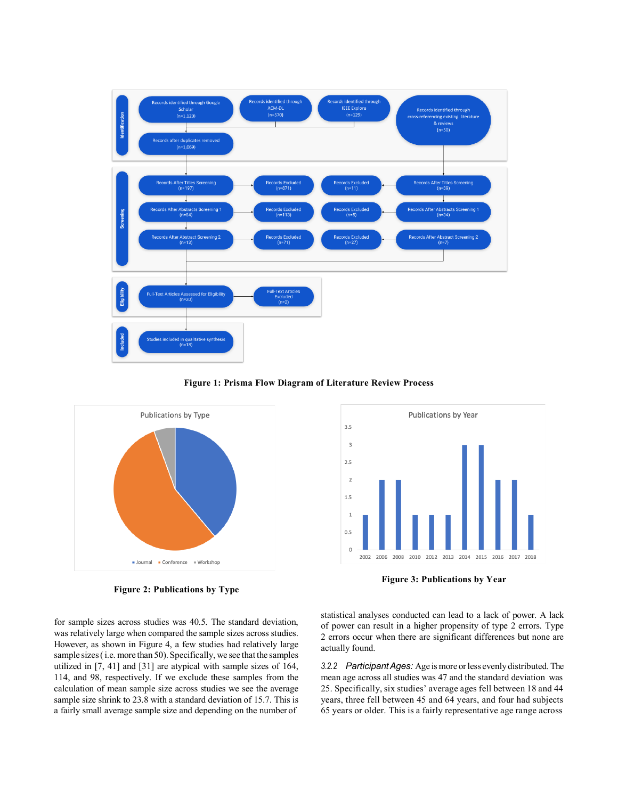

**Figure 1: Prisma Flow Diagram of Literature Review Process**



**Figure 2: Publications by Type**





**Figure 3: Publications by Year**

statistical analyses conducted can lead to a lack of power. A lack of power can result in a higher propensity of type 2 errors. Type 2 errors occur when there are significant differences but none are actually found.

*3.2.2 ParticipantAges:* Age is more orless evenly distributed. The mean age across all studies was 47 and the standard deviation was 25. Specifically, six studies' average ages fell between 18 and 44 years, three fell between 45 and 64 years, and four had subjects 65 years or older. This is a fairly representative age range across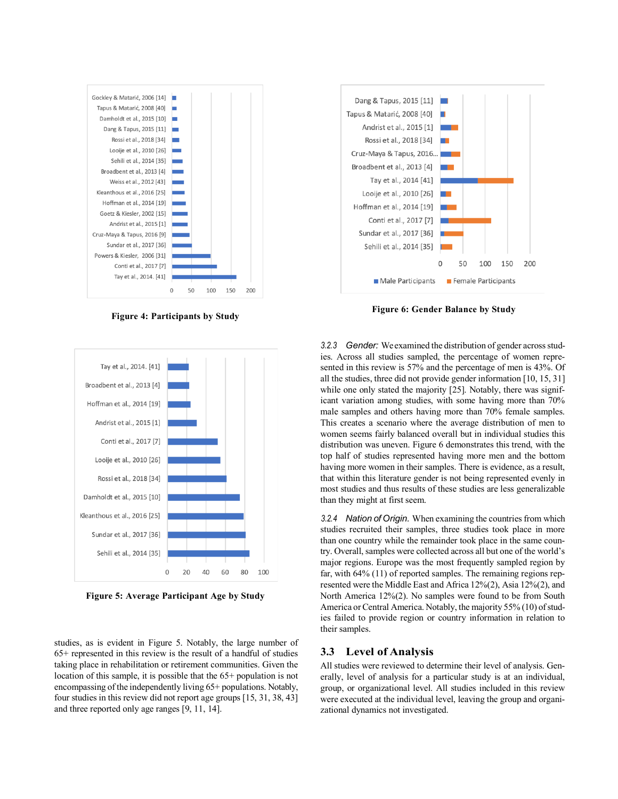

**Figure 4: Participants by Study**



**Figure 5: Average Participant Age by Study**

studies, as is evident in Figure 5. Notably, the large number of 65+ represented in this review is the result of a handful of studies taking place in rehabilitation or retirement communities. Given the location of this sample, it is possible that the 65+ population is not encompassing of the independently living 65+ populations. Notably, four studies in this review did not report age groups [15, 31, 38, 43] and three reported only age ranges [9, 11, 14].



**Figure 6: Gender Balance by Study**

3.2.3 *Gender:* We examined the distribution of gender across studies. Across all studies sampled, the percentage of women represented in this review is 57% and the percentage of men is 43%. Of all the studies, three did not provide gender information [10, 15, 31] while one only stated the majority [25]. Notably, there was significant variation among studies, with some having more than 70% male samples and others having more than 70% female samples. This creates a scenario where the average distribution of men to women seems fairly balanced overall but in individual studies this distribution was uneven. Figure 6 demonstrates this trend, with the top half of studies represented having more men and the bottom having more women in their samples. There is evidence, as a result, that within this literature gender is not being represented evenly in most studies and thus results of these studies are less generalizable than they might at first seem.

*3.2.4 Nation of Origin.* When examining the countriesfrom which studies recruited their samples, three studies took place in more than one country while the remainder took place in the same country. Overall, samples were collected across all but one of the world's major regions. Europe was the most frequently sampled region by far, with 64% (11) of reported samples. The remaining regions represented were the Middle East and Africa 12%(2), Asia 12%(2), and North America 12%(2). No samples were found to be from South America or Central America. Notably, the majority 55% (10) of studies failed to provide region or country information in relation to their samples.

#### **3.3 Level of Analysis**

All studies were reviewed to determine their level of analysis. Generally, level of analysis for a particular study is at an individual, group, or organizational level. All studies included in this review were executed at the individual level, leaving the group and organizational dynamics not investigated.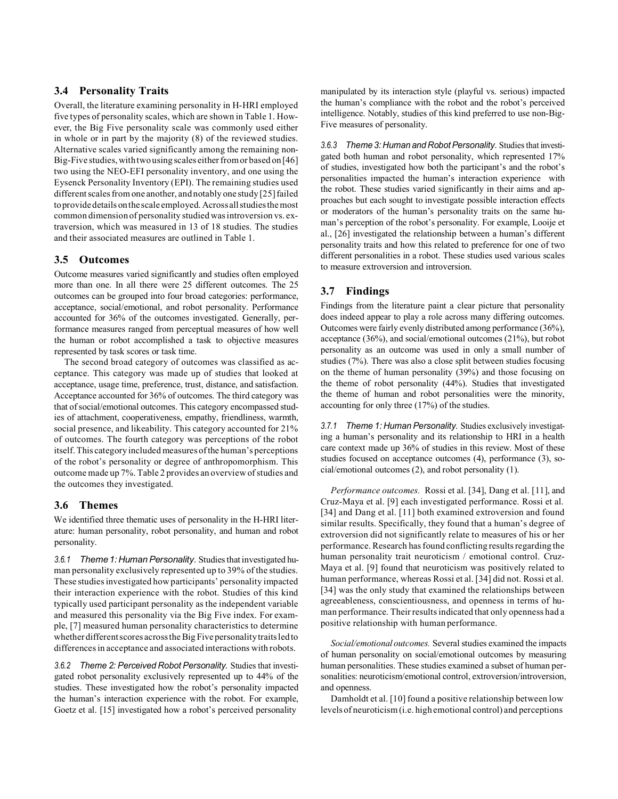# **3.4 Personality Traits**

Overall, the literature examining personality in H-HRI employed five types of personality scales, which are shown in Table 1. However, the Big Five personality scale was commonly used either in whole or in part by the majority (8) of the reviewed studies. Alternative scales varied significantly among the remaining non-Big-Five studies, with two using scales either from or based on [46] two using the NEO-EFI personality inventory, and one using the Eysenck Personality Inventory (EPI). The remaining studies used different scales from one another, and notably one study [25] failed toprovidedetails onthescaleemployed. Acrossallstudiesthemost common dimension of personality studied wasintroversion vs. extraversion, which was measured in 13 of 18 studies. The studies and their associated measures are outlined in Table 1.

#### **3.5 Outcomes**

Outcome measures varied significantly and studies often employed more than one. In all there were 25 different outcomes. The 25 outcomes can be grouped into four broad categories: performance, acceptance, social/emotional, and robot personality. Performance accounted for 36% of the outcomes investigated. Generally, performance measures ranged from perceptual measures of how well the human or robot accomplished a task to objective measures represented by task scores or task time.

The second broad category of outcomes was classified as acceptance. This category was made up of studies that looked at acceptance, usage time, preference, trust, distance, and satisfaction. Acceptance accounted for 36% of outcomes. The third category was that of social/emotional outcomes. This category encompassed studies of attachment, cooperativeness, empathy, friendliness, warmth, social presence, and likeability. This category accounted for 21% of outcomes. The fourth category was perceptions of the robot itself.This category included measures ofthe human's perceptions of the robot's personality or degree of anthropomorphism. This outcome made up 7%. Table 2 provides an overview of studies and the outcomes they investigated.

#### **3.6 Themes**

We identified three thematic uses of personality in the H-HRI literature: human personality, robot personality, and human and robot personality.

3.6.1 *Theme 1: Human Personality.* Studies that investigated human personality exclusively represented up to 39% of the studies. These studies investigated how participants' personality impacted their interaction experience with the robot. Studies of this kind typically used participant personality as the independent variable and measured this personality via the Big Five index. For example, [7] measured human personality characteristics to determine whether different scores across the Big Five personality traits led to differencesin acceptance and associated interactions with robots.

*3.6.2 Theme 2: Perceived Robot Personality.* Studies that investigated robot personality exclusively represented up to 44% of the studies. These investigated how the robot's personality impacted the human's interaction experience with the robot. For example, Goetz et al. [15] investigated how a robot's perceived personality

manipulated by its interaction style (playful vs. serious) impacted the human's compliance with the robot and the robot's perceived intelligence. Notably, studies of this kind preferred to use non-Big-Five measures of personality.

3.6.3 Theme 3: Human and Robot Personality. Studies that investigated both human and robot personality, which represented 17% of studies, investigated how both the participant's and the robot's personalities impacted the human's interaction experience with the robot. These studies varied significantly in their aims and approaches but each sought to investigate possible interaction effects or moderators of the human's personality traits on the same human's perception of the robot's personality. For example, Looije et al., [26] investigated the relationship between a human's different personality traits and how this related to preference for one of two different personalities in a robot. These studies used various scales to measure extroversion and introversion.

# **3.7 Findings**

Findings from the literature paint a clear picture that personality does indeed appear to play a role across many differing outcomes. Outcomes were fairly evenly distributed among performance (36%), acceptance (36%), and social/emotional outcomes (21%), but robot personality as an outcome was used in only a small number of studies (7%). There was also a close split between studies focusing on the theme of human personality (39%) and those focusing on the theme of robot personality (44%). Studies that investigated the theme of human and robot personalities were the minority, accounting for only three (17%) of the studies.

*3.7.1 Theme 1: Human Personality.* Studies exclusively investigating a human's personality and its relationship to HRI in a health care context made up 36% of studies in this review. Most of these studies focused on acceptance outcomes (4), performance (3), social/emotional outcomes (2), and robot personality (1).

*Performance outcomes.* Rossi et al. [34], Dang et al. [11], and Cruz-Maya et al. [9] each investigated performance. Rossi et al. [34] and Dang et al. [11] both examined extroversion and found similar results. Specifically, they found that a human's degree of extroversion did not significantly relate to measures of his or her performance. Research has found conflicting results regarding the human personality trait neuroticism / emotional control. Cruz-Maya et al. [9] found that neuroticism was positively related to human performance, whereas Rossi et al. [34] did not. Rossi et al. [34] was the only study that examined the relationships between agreeableness, conscientiousness, and openness in terms of human performance. Their resultsindicated that only openness had a positive relationship with human performance.

*Social/emotional outcomes.* Several studies examined the impacts of human personality on social/emotional outcomes by measuring human personalities. These studies examined a subset of human personalities: neuroticism/emotional control, extroversion/introversion, and openness.

Damholdt et al. [10] found a positive relationship between low levels of neuroticism(i.e. high emotional control) and perceptions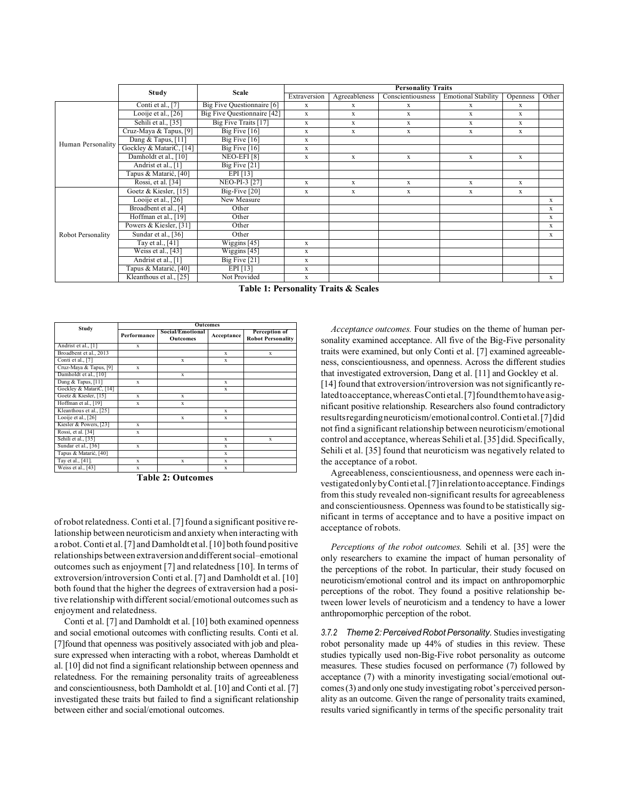|                   | Study                   | Scale                              | <b>Personality Traits</b> |               |                   |                            |             |              |  |
|-------------------|-------------------------|------------------------------------|---------------------------|---------------|-------------------|----------------------------|-------------|--------------|--|
|                   |                         |                                    | Extraversion              | Agreeableness | Conscientiousness | <b>Emotional Stability</b> | Openness    | Other        |  |
| Human Personality | Conti et al., [7]       | Big Five Questionnaire [6]         | $\mathbf X$               | X             | X                 | X                          | $\mathbf X$ |              |  |
|                   | Looije et al., [26]     | <b>Big Five Questionnaire [42]</b> | X                         | X             | X                 | X                          | X           |              |  |
|                   | Sehili et al., [35]     | Big Five Traits [17]               | X                         | X             | X                 | X                          | X           |              |  |
|                   | Cruz-Maya & Tapus, [9]  | Big Five $[16]$                    | X                         | X             | X                 | X                          | X           |              |  |
|                   | Dang & Tapus, $[11]$    | Big Five $[16]$                    | X                         |               |                   |                            |             |              |  |
|                   | Gockley & MatariC, [14] | Big Five $[16]$                    | X                         |               |                   |                            |             |              |  |
|                   | Damholdt et al., [10]   | NEO-EFI <sup>[8]</sup>             | X                         | X             | $\mathbf x$       | $\mathbf x$                | $\mathbf X$ |              |  |
|                   | Andrist et al., [1]     | Big Five $[21]$                    |                           |               |                   |                            |             |              |  |
|                   | Tapus & Matarić, [40]   | EPI $[13]$                         |                           |               |                   |                            |             |              |  |
|                   | Rossi, et al. [34]      | NEO-PI-3 [27]                      | X                         | X             | X                 | X                          | X           |              |  |
| Robot Personality | Goetz & Kiesler, [15]   | Big-Five [20]                      | X                         | X             | X                 | $\mathbf X$                | $\mathbf X$ |              |  |
|                   | Looije et al., $[26]$   | New Measure                        |                           |               |                   |                            |             | $\mathbf{x}$ |  |
|                   | Broadbent et al., [4]   | Other                              |                           |               |                   |                            |             | X            |  |
|                   | Hoffman et al., [19]    | Other                              |                           |               |                   |                            |             | X            |  |
|                   | Powers & Kiesler, [31]  | Other                              |                           |               |                   |                            |             | X            |  |
|                   | Sundar et al., [36]     | Other                              |                           |               |                   |                            |             | X            |  |
|                   | Tay et al., [41]        | Wiggins [45]                       | X                         |               |                   |                            |             |              |  |
|                   | Weiss et al., $[43]$    | Wiggins $[45]$                     | X                         |               |                   |                            |             |              |  |
|                   | Andrist et al., [1]     | Big Five [21]                      | X                         |               |                   |                            |             |              |  |
|                   | Tapus & Matarić, [40]   | EPI[13]                            | X                         |               |                   |                            |             |              |  |
|                   | Kleanthous et al., [25] | Not Provided                       | X                         |               |                   |                            |             | $\mathbf{x}$ |  |

**Table 1: Personality Traits & Scales**

|                         | <b>Outcomes</b>                                    |   |             |                                           |  |  |  |
|-------------------------|----------------------------------------------------|---|-------------|-------------------------------------------|--|--|--|
| Study                   | Social/Emotional<br>Performance<br><b>Outcomes</b> |   | Acceptance  | Perception of<br><b>Robot Personality</b> |  |  |  |
| Andrist et al., [1]     | $\mathbf x$                                        |   |             |                                           |  |  |  |
| Broadbent et al., 2013  |                                                    |   | $\mathbf x$ | X                                         |  |  |  |
| Conti et al., [7]       |                                                    | X | X           |                                           |  |  |  |
| Cruz-Maya & Tapus, [9]  | X                                                  |   |             |                                           |  |  |  |
| Damholdt et al., [10]   |                                                    | X |             |                                           |  |  |  |
| Dang & Tapus, [11]      | $\mathbf x$                                        |   | X           |                                           |  |  |  |
| Gockley & MatariC, [14] |                                                    |   | $\mathbf x$ |                                           |  |  |  |
| Goetz & Kiesler, [15]   | X                                                  | X |             |                                           |  |  |  |
| Hoffman et al., [19]    | x                                                  | X |             |                                           |  |  |  |
| Kleanthous et al., [25] |                                                    |   | $\mathbf x$ |                                           |  |  |  |
| Looije et al., [26]     |                                                    | X | $\mathbf x$ |                                           |  |  |  |
| Kiesler & Powers, [23]  | X                                                  |   |             |                                           |  |  |  |
| Rossi, et al. [34]      | x                                                  |   |             |                                           |  |  |  |
| Sehili et al., [35]     |                                                    |   | $\mathbf x$ | $\mathbf x$                               |  |  |  |
| Sundar et al., [36]     | X                                                  |   | $\mathbf x$ |                                           |  |  |  |
| Tapus & Matarić, [40]   |                                                    |   | $\mathbf x$ |                                           |  |  |  |
| Tay et al., [41].       | $\mathbf x$                                        | X | $\mathbf x$ |                                           |  |  |  |
| Weiss et al., [43]      | X                                                  |   | $\mathbf x$ |                                           |  |  |  |

**Table 2: Outcomes**

of robot relatedness. Conti et al. [7] found a significant positive relationship between neuroticism and anxiety when interacting with a robot. Conti et al.[7] and Damholdt et al.[10] both found positive relationships between extraversion anddifferentsocial–emotional outcomes such as enjoyment [7] and relatedness [10]. In terms of extroversion/introversion Conti et al. [7] and Damholdt et al. [10] both found that the higher the degrees of extraversion had a positive relationship with different social/emotional outcomes such as enjoyment and relatedness.

Conti et al. [7] and Damholdt et al. [10] both examined openness and social emotional outcomes with conflicting results. Conti et al. [7]found that openness was positively associated with job and pleasure expressed when interacting with a robot, whereas Damholdt et al. [10] did not find a significant relationship between openness and relatedness. For the remaining personality traits of agreeableness and conscientiousness, both Damholdt et al. [10] and Conti et al. [7] investigated these traits but failed to find a significant relationship between either and social/emotional outcomes.

*Acceptance outcomes.* Four studies on the theme of human personality examined acceptance. All five of the Big-Five personality traits were examined, but only Conti et al. [7] examined agreeableness, conscientiousness, and openness. Across the different studies that investigated extroversion, Dang et al. [11] and Gockley et al. [14] found that extroversion/introversion was not significantly relatedtoacceptance, whereas Conti etal. [7] found them to have a significant positive relationship. Researchers also found contradictory resultsregardingneuroticism/emotional control.Conti et al.[7]did not find a significant relationship between neuroticism/emotional control and acceptance, whereas Sehili et al.[35] did. Specifically, Sehili et al. [35] found that neuroticism was negatively related to the acceptance of a robot.

Agreeableness, conscientiousness, and openness were each investigatedonlybyConti et al.[7]inrelationtoacceptance.Findings from this study revealed non-significant results for agreeableness and conscientiousness. Openness wasfound to be statistically significant in terms of acceptance and to have a positive impact on acceptance of robots.

*Perceptions of the robot outcomes.* Sehili et al. [35] were the only researchers to examine the impact of human personality of the perceptions of the robot. In particular, their study focused on neuroticism/emotional control and its impact on anthropomorphic perceptions of the robot. They found a positive relationship between lower levels of neuroticism and a tendency to have a lower anthropomorphic perception of the robot.

*3.7.2 Theme 2:PerceivedRobotPersonality.* Studiesinvestigating robot personality made up 44% of studies in this review. These studies typically used non-Big-Five robot personality as outcome measures. These studies focused on performance (7) followed by acceptance (7) with a minority investigating social/emotional outcomes(3) and only one study investigating robot's perceived personality as an outcome. Given the range of personality traits examined, results varied significantly in terms of the specific personality trait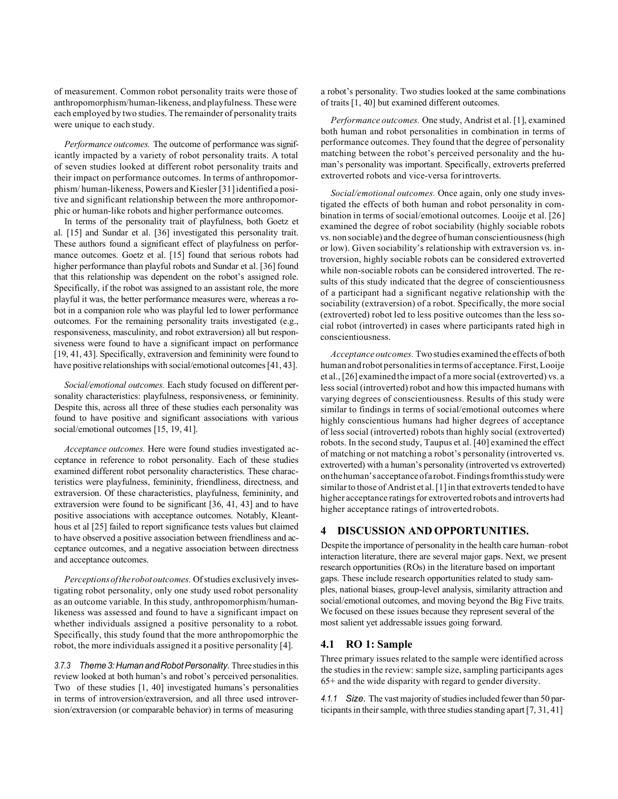of measurement. Common robot personality traits were those of anthropomorphism/human-likeness, and playfulness. These were each employed by two studies. The remainder of personality traits were unique to each study.

*Performance outcomes.* The outcome of performance was significantly impacted by a variety of robot personality traits. A total of seven studies looked at different robot personality traits and their impact on performance outcomes. In terms of anthropomorphism/ human-likeness, Powers and Kiesler [31]identified a positive and significant relationship between the more anthropomorphic or human-like robots and higher performance outcomes.

In terms of the personality trait of playfulness, both Goetz et al. [15] and Sundar et al. [36] investigated this personality trait. These authors found a significant effect of playfulness on performance outcomes. Goetz et al. [15] found that serious robots had higher performance than playful robots and Sundar et al. [36] found that this relationship was dependent on the robot's assigned role. Specifically, if the robot was assigned to an assistant role, the more playful it was, the better performance measures were, whereas a robot in a companion role who was playful led to lower performance outcomes. For the remaining personality traits investigated (e.g., responsiveness, masculinity, and robot extraversion) all but responsiveness were found to have a significant impact on performance [19, 41, 43]. Specifically, extraversion and femininity were found to have positive relationships with social/emotional outcomes [41, 43].

*Social/emotional outcomes.* Each study focused on different personality characteristics: playfulness, responsiveness, or femininity. Despite this, across all three of these studies each personality was found to have positive and significant associations with various social/emotional outcomes [15, 19, 41].

*Acceptance outcomes.* Here were found studies investigated acceptance in reference to robot personality. Each of these studies examined different robot personality characteristics. These characteristics were playfulness, femininity, friendliness, directness, and extraversion. Of these characteristics, playfulness, femininity, and extraversion were found to be significant [36, 41, 43] and to have positive associations with acceptance outcomes. Notably, Kleanthous et al [25] failed to report significance tests values but claimed to have observed a positive association between friendliness and acceptance outcomes, and a negative association between directness and acceptance outcomes.

*Perceptions of the robot outcomes.* Of studies exclusively investigating robot personality, only one study used robot personality as an outcome variable. In this study, anthropomorphism/humanlikeness was assessed and found to have a significant impact on whether individuals assigned a positive personality to a robot. Specifically, this study found that the more anthropomorphic the robot, the more individuals assigned it a positive personality [4].

*3.7.3 Theme 3:Human andRobotPersonality.* Three studiesin this review looked at both human's and robot's perceived personalities. Two of these studies [1, 40] investigated humans's personalities in terms of introversion/extraversion, and all three used introversion/extraversion (or comparable behavior) in terms of measuring

a robot's personality. Two studies looked at the same combinations of traits [1, 40] but examined different outcomes.

*Performance outcomes.* One study, Andrist et al. [1], examined both human and robot personalities in combination in terms of performance outcomes. They found that the degree of personality matching between the robot's perceived personality and the human's personality was important. Specifically, extroverts preferred extroverted robots and vice-versa forintroverts.

*Social/emotional outcomes.* Once again, only one study investigated the effects of both human and robot personality in combination in terms of social/emotional outcomes. Looije et al. [26] examined the degree of robot sociability (highly sociable robots vs. non sociable) and the degree of human conscientiousness(high or low). Given sociability's relationship with extraversion vs. introversion, highly sociable robots can be considered extroverted while non-sociable robots can be considered introverted. The results of this study indicated that the degree of conscientiousness of a participant had a significant negative relationship with the sociability (extraversion) of a robot. Specifically, the more social (extroverted) robot led to less positive outcomes than the less social robot (introverted) in cases where participants rated high in conscientiousness.

*Acceptance outcomes.* Two studies examined the effects of both human and robot personalities in terms of acceptance. First, Looije et al., [26] examined the impact of a more social (extroverted) vs. a less social (introverted) robot and how this impacted humans with varying degrees of conscientiousness. Results of this study were similar to findings in terms of social/emotional outcomes where highly conscientious humans had higher degrees of acceptance of less social (introverted) robots than highly social (extroverted) robots. In the second study, Taupus et al. [40] examined the effect of matching or not matching a robot's personality (introverted vs. extroverted) with a human's personality (introverted vs extroverted) onthehuman'sacceptanceofarobot.Findingsfromthisstudywere similar to those of Andrist et al. [1] in that extroverts tended to have higher acceptance ratings for extroverted robots and introverts had higher acceptance ratings of introvertedrobots.

#### **4 DISCUSSION AND OPPORTUNITIES.**

Despite the importance of personality in the health care human–robot interaction literature, there are several major gaps. Next, we present research opportunities (ROs) in the literature based on important gaps. These include research opportunities related to study samples, national biases, group-level analysis, similarity attraction and social/emotional outcomes, and moving beyond the Big Five traits. We focused on these issues because they represent several of the most salient yet addressable issues going forward.

#### **4.1 RO 1: Sample**

Three primary issues related to the sample were identified across the studiesin the review: sample size, sampling participants ages 65+ and the wide disparity with regard to gender diversity.

4.1.1 Size. The vast majority of studies included fewer than 50 participants in their sample, with three studies standing apart  $[7, 31, 41]$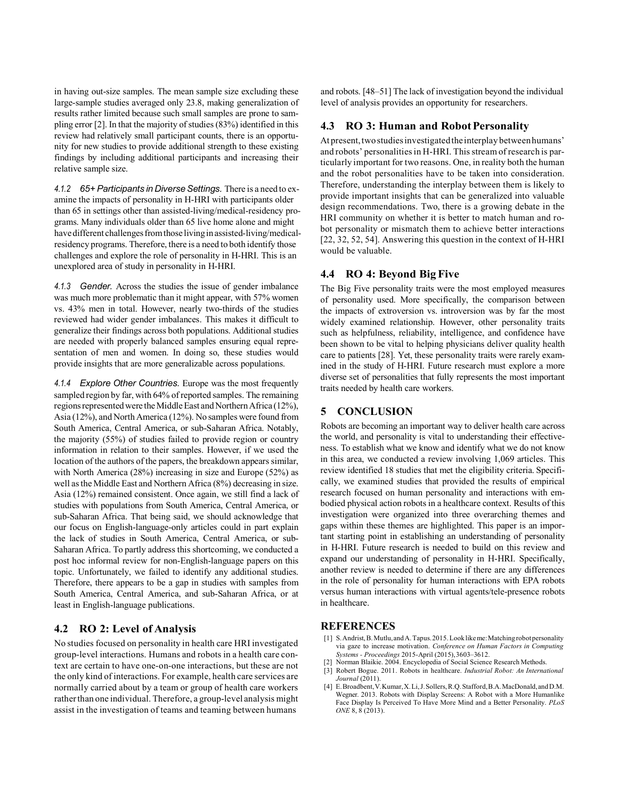in having out-size samples. The mean sample size excluding these large-sample studies averaged only 23.8, making generalization of results rather limited because such small samples are prone to sampling error  $[2]$ . In that the majority of studies (83%) identified in this review had relatively small participant counts, there is an opportunity for new studies to provide additional strength to these existing findings by including additional participants and increasing their relative sample size.

*4.1.2 65+ Participants in DiverseSettings.* There is a need to examine the impacts of personality in H-HRI with participants older than 65 in settings other than assisted-living/medical-residency programs. Many individuals older than 65 live home alone and might have different challenges from those living in assisted-living/medicalresidency programs. Therefore, there is a need to both identify those challenges and explore the role of personality in H-HRI. This is an unexplored area of study in personality in H-HRI.

*4.1.3 Gender.* Across the studies the issue of gender imbalance was much more problematic than it might appear, with 57% women vs. 43% men in total. However, nearly two-thirds of the studies reviewed had wider gender imbalances. This makes it difficult to generalize their findings across both populations. Additional studies are needed with properly balanced samples ensuring equal representation of men and women. In doing so, these studies would provide insights that are more generalizable across populations.

*4.1.4 Explore Other Countries.* Europe was the most frequently sampled region by far, with 64% of reported samples. The remaining regions represented were the Middle East and Northern Africa (12%), Asia (12%), and North America (12%). No samples were found from South America, Central America, or sub-Saharan Africa. Notably, the majority (55%) of studies failed to provide region or country information in relation to their samples. However, if we used the location of the authors of the papers, the breakdown appears similar, with North America (28%) increasing in size and Europe (52%) as well asthe Middle East and Northern Africa (8%) decreasing in size. Asia (12%) remained consistent. Once again, we still find a lack of studies with populations from South America, Central America, or sub-Saharan Africa. That being said, we should acknowledge that our focus on English-language-only articles could in part explain the lack of studies in South America, Central America, or sub-Saharan Africa. To partly address this shortcoming, we conducted a post hoc informal review for non-English-language papers on this topic. Unfortunately, we failed to identify any additional studies. Therefore, there appears to be a gap in studies with samples from South America, Central America, and sub-Saharan Africa, or at least in English-language publications.

## **4.2 RO 2: Level of Analysis**

No studies focused on personality in health care HRI investigated group-level interactions. Humans and robots in a health care context are certain to have one-on-one interactions, but these are not the only kind of interactions. For example, health care services are normally carried about by a team or group of health care workers rather than one individual. Therefore, a group-level analysis might assist in the investigation of teams and teaming between humans

and robots. [48–51] The lack of investigation beyond the individual level of analysis provides an opportunity for researchers.

#### **4.3 RO 3: Human and RobotPersonality**

At present, two studies investigated the interplay between humans' and robots' personalities in H-HRI. This stream of research is particularly important for two reasons. One, in reality both the human and the robot personalities have to be taken into consideration. Therefore, understanding the interplay between them is likely to provide important insights that can be generalized into valuable design recommendations. Two, there is a growing debate in the HRI community on whether it is better to match human and robot personality or mismatch them to achieve better interactions [22, 32, 52, 54]. Answering this question in the context of H-HRI would be valuable.

## **4.4 RO 4: Beyond BigFive**

The Big Five personality traits were the most employed measures of personality used. More specifically, the comparison between the impacts of extroversion vs. introversion was by far the most widely examined relationship. However, other personality traits such as helpfulness, reliability, intelligence, and confidence have been shown to be vital to helping physicians deliver quality health care to patients [28]. Yet, these personality traits were rarely examined in the study of H-HRI. Future research must explore a more diverse set of personalities that fully represents the most important traits needed by health care workers.

## **5 CONCLUSION**

Robots are becoming an important way to deliver health care across the world, and personality is vital to understanding their effectiveness. To establish what we know and identify what we do not know in this area, we conducted a review involving 1,069 articles. This review identified 18 studies that met the eligibility criteria. Specifically, we examined studies that provided the results of empirical research focused on human personality and interactions with embodied physical action robots in a healthcare context. Results of this investigation were organized into three overarching themes and gaps within these themes are highlighted. This paper is an important starting point in establishing an understanding of personality in H-HRI. Future research is needed to build on this review and expand our understanding of personality in H-HRI. Specifically, another review is needed to determine if there are any differences in the role of personality for human interactions with EPA robots versus human interactions with virtual agents/tele-presence robots in healthcare.

#### **REFERENCES**

- [1] S. Andrist, B. Mutlu, and A. Tapus. 2015. Look like me: Matching robot personality via gaze to increase motivation. *Conference on Human Factors in Computing Systems - Proceedings* 2015-April (2015),3603–3612.
- Norman Blaikie. 2004. Encyclopedia of Social Science Research Methods.
- [3] Robert Bogue. 2011. Robots in healthcare. *Industrial Robot: An International Journal* (2011).
- [4] E. Broadbent, V. Kumar, X. Li, J. Sollers, R.Q. Stafford, B.A. MacDonald, and D.M. Wegner. 2013. Robots with Display Screens: A Robot with a More Humanlike Face Display Is Perceived To Have More Mind and a Better Personality. *PLoS ONE* 8, 8 (2013).